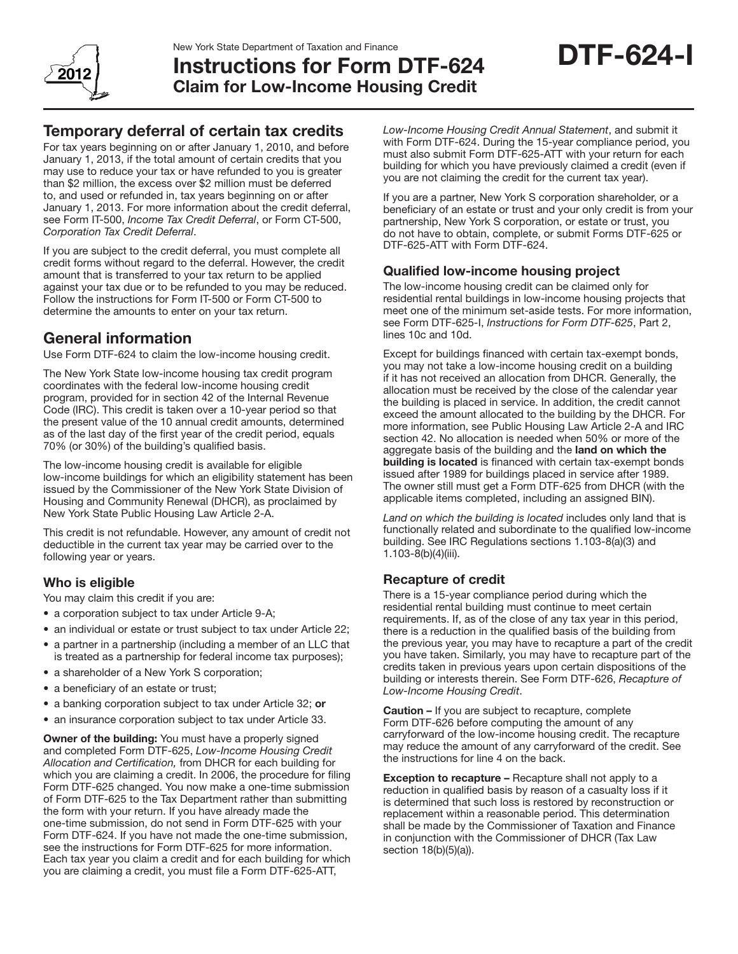

# Instructions for Form DTF-624 Claim for Low-Income Housing Credit

# Temporary deferral of certain tax credits

For tax years beginning on or after January 1, 2010, and before January 1, 2013, if the total amount of certain credits that you may use to reduce your tax or have refunded to you is greater than \$2 million, the excess over \$2 million must be deferred to, and used or refunded in, tax years beginning on or after January 1, 2013. For more information about the credit deferral, see Form IT-500, *Income Tax Credit Deferral*, or Form CT-500, *Corporation Tax Credit Deferral*.

If you are subject to the credit deferral, you must complete all credit forms without regard to the deferral. However, the credit amount that is transferred to your tax return to be applied against your tax due or to be refunded to you may be reduced. Follow the instructions for Form IT-500 or Form CT-500 to determine the amounts to enter on your tax return.

# General information

Use Form DTF-624 to claim the low-income housing credit.

The New York State low-income housing tax credit program coordinates with the federal low-income housing credit program, provided for in section 42 of the Internal Revenue Code (IRC). This credit is taken over a 10-year period so that the present value of the 10 annual credit amounts, determined as of the last day of the first year of the credit period, equals 70% (or 30%) of the building's qualified basis.

The low-income housing credit is available for eligible low-income buildings for which an eligibility statement has been issued by the Commissioner of the New York State Division of Housing and Community Renewal (DHCR), as proclaimed by New York State Public Housing Law Article 2-A.

This credit is not refundable. However, any amount of credit not deductible in the current tax year may be carried over to the following year or years.

### Who is eligible

You may claim this credit if you are:

- a corporation subject to tax under Article 9-A;
- an individual or estate or trust subject to tax under Article 22;
- a partner in a partnership (including a member of an LLC that is treated as a partnership for federal income tax purposes);
- a shareholder of a New York S corporation;
- a beneficiary of an estate or trust;
- a banking corporation subject to tax under Article 32; or
- an insurance corporation subject to tax under Article 33.

Owner of the building: You must have a properly signed and completed Form DTF-625, *Low-Income Housing Credit Allocation and Certification,* from DHCR for each building for which you are claiming a credit. In 2006, the procedure for filing Form DTF-625 changed. You now make a one-time submission of Form DTF-625 to the Tax Department rather than submitting the form with your return. If you have already made the one-time submission, do not send in Form DTF-625 with your Form DTF-624. If you have not made the one-time submission, see the instructions for Form DTF-625 for more information. Each tax year you claim a credit and for each building for which you are claiming a credit, you must file a Form DTF-625-ATT,

*Low-Income Housing Credit Annual Statement*, and submit it with Form DTF-624. During the 15-year compliance period, you must also submit Form DTF-625-ATT with your return for each building for which you have previously claimed a credit (even if you are not claiming the credit for the current tax year).

DTF-624-I

If you are a partner, New York S corporation shareholder, or a beneficiary of an estate or trust and your only credit is from your partnership, New York S corporation, or estate or trust, you do not have to obtain, complete, or submit Forms DTF-625 or DTF-625-ATT with Form DTF-624.

#### Qualified low-income housing project

The low-income housing credit can be claimed only for residential rental buildings in low-income housing projects that meet one of the minimum set-aside tests. For more information, see Form DTF-625-I, *Instructions for Form DTF-625*, Part 2, lines 10c and 10d.

Except for buildings financed with certain tax-exempt bonds, you may not take a low-income housing credit on a building if it has not received an allocation from DHCR. Generally, the allocation must be received by the close of the calendar year the building is placed in service. In addition, the credit cannot exceed the amount allocated to the building by the DHCR. For more information, see Public Housing Law Article 2-A and IRC section 42. No allocation is needed when 50% or more of the aggregate basis of the building and the land on which the building is located is financed with certain tax-exempt bonds issued after 1989 for buildings placed in service after 1989. The owner still must get a Form DTF-625 from DHCR (with the applicable items completed, including an assigned BIN).

*Land on which the building is located* includes only land that is functionally related and subordinate to the qualified low-income building. See IRC Regulations sections 1.103-8(a)(3) and 1.103-8(b)(4)(iii).

#### Recapture of credit

There is a 15-year compliance period during which the residential rental building must continue to meet certain requirements. If, as of the close of any tax year in this period, there is a reduction in the qualified basis of the building from the previous year, you may have to recapture a part of the credit you have taken. Similarly, you may have to recapture part of the credits taken in previous years upon certain dispositions of the building or interests therein. See Form DTF-626, *Recapture of Low-Income Housing Credit*.

**Caution –** If you are subject to recapture, complete Form DTF-626 before computing the amount of any carryforward of the low-income housing credit. The recapture may reduce the amount of any carryforward of the credit. See the instructions for line 4 on the back.

**Exception to recapture – Recapture shall not apply to a** reduction in qualified basis by reason of a casualty loss if it is determined that such loss is restored by reconstruction or replacement within a reasonable period. This determination shall be made by the Commissioner of Taxation and Finance in conjunction with the Commissioner of DHCR (Tax Law section 18(b)(5)(a)).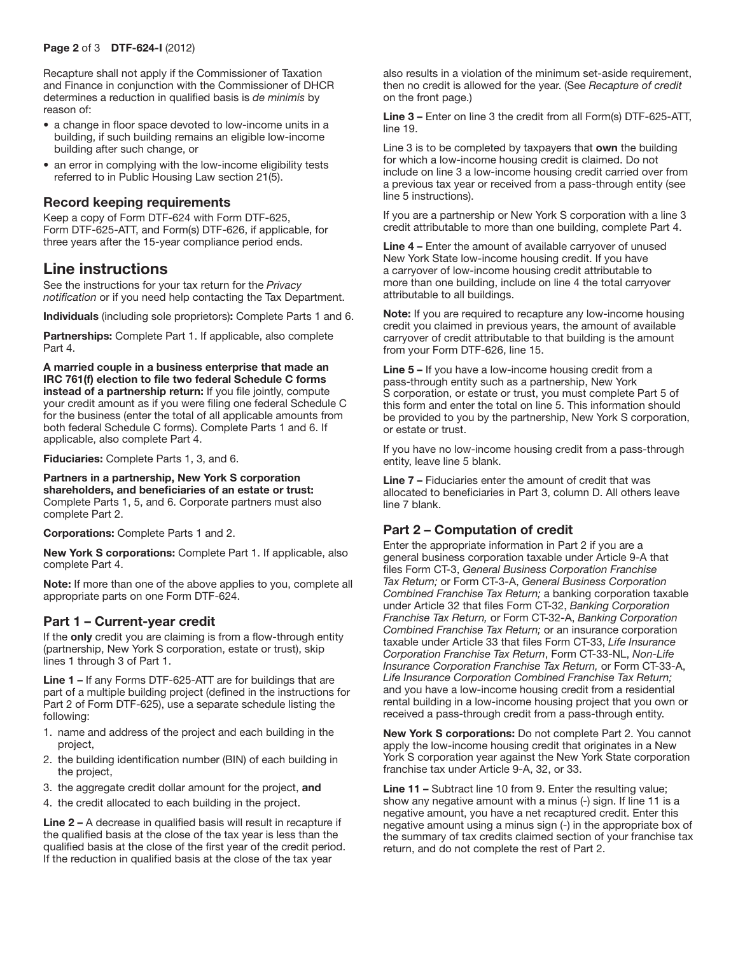Recapture shall not apply if the Commissioner of Taxation and Finance in conjunction with the Commissioner of DHCR determines a reduction in qualified basis is *de minimis* by reason of:

- a change in floor space devoted to low-income units in a building, if such building remains an eligible low-income building after such change, or
- an error in complying with the low-income eligibility tests referred to in Public Housing Law section 21(5).

#### Record keeping requirements

Keep a copy of Form DTF-624 with Form DTF-625, Form DTF-625-ATT, and Form(s) DTF-626, if applicable, for three years after the 15-year compliance period ends.

# Line instructions

See the instructions for your tax return for the *Privacy notification* or if you need help contacting the Tax Department.

Individuals (including sole proprietors): Complete Parts 1 and 6.

Partnerships: Complete Part 1. If applicable, also complete Part 4.

A married couple in a business enterprise that made an IRC 761(f) election to file two federal Schedule C forms instead of a partnership return: If you file jointly, compute your credit amount as if you were filing one federal Schedule C for the business (enter the total of all applicable amounts from both federal Schedule C forms). Complete Parts 1 and 6. If applicable, also complete Part 4.

Fiduciaries: Complete Parts 1, 3, and 6.

Partners in a partnership, New York S corporation shareholders, and beneficiaries of an estate or trust: Complete Parts 1, 5, and 6. Corporate partners must also complete Part 2.

Corporations: Complete Parts 1 and 2.

New York S corporations: Complete Part 1. If applicable, also complete Part 4.

Note: If more than one of the above applies to you, complete all appropriate parts on one Form DTF-624.

#### Part 1 – Current-year credit

If the **only** credit you are claiming is from a flow-through entity (partnership, New York S corporation, estate or trust), skip lines 1 through 3 of Part 1.

Line 1 – If any Forms DTF-625-ATT are for buildings that are part of a multiple building project (defined in the instructions for Part 2 of Form DTF-625), use a separate schedule listing the following:

- 1. name and address of the project and each building in the project,
- 2. the building identification number (BIN) of each building in the project,
- 3. the aggregate credit dollar amount for the project, and
- 4. the credit allocated to each building in the project.

Line 2 – A decrease in qualified basis will result in recapture if the qualified basis at the close of the tax year is less than the qualified basis at the close of the first year of the credit period. If the reduction in qualified basis at the close of the tax year

also results in a violation of the minimum set-aside requirement, then no credit is allowed for the year. (See *Recapture of credit* on the front page.)

Line 3 – Enter on line 3 the credit from all Form(s) DTF-625-ATT, line 19.

Line 3 is to be completed by taxpayers that own the building for which a low-income housing credit is claimed. Do not include on line 3 a low-income housing credit carried over from a previous tax year or received from a pass-through entity (see line 5 instructions).

If you are a partnership or New York S corporation with a line 3 credit attributable to more than one building, complete Part 4.

Line 4 – Enter the amount of available carryover of unused New York State low-income housing credit. If you have a carryover of low-income housing credit attributable to more than one building, include on line 4 the total carryover attributable to all buildings.

Note: If you are required to recapture any low-income housing credit you claimed in previous years, the amount of available carryover of credit attributable to that building is the amount from your Form DTF-626, line 15.

Line 5 – If you have a low-income housing credit from a pass-through entity such as a partnership, New York S corporation, or estate or trust, you must complete Part 5 of this form and enter the total on line 5. This information should be provided to you by the partnership, New York S corporation, or estate or trust.

If you have no low-income housing credit from a pass-through entity, leave line 5 blank.

Line 7 – Fiduciaries enter the amount of credit that was allocated to beneficiaries in Part 3, column D. All others leave line 7 blank.

#### Part 2 – Computation of credit

Enter the appropriate information in Part 2 if you are a general business corporation taxable under Article 9-A that files Form CT-3, *General Business Corporation Franchise Tax Return;* or Form CT-3-A, *General Business Corporation Combined Franchise Tax Return;* a banking corporation taxable under Article 32 that files Form CT-32, *Banking Corporation Franchise Tax Return,* or Form CT-32-A, *Banking Corporation Combined Franchise Tax Return;* or an insurance corporation taxable under Article 33 that files Form CT-33, *Life Insurance Corporation Franchise Tax Return*, Form CT-33-NL, *Non-Life Insurance Corporation Franchise Tax Return,* or Form CT-33-A, *Life Insurance Corporation Combined Franchise Tax Return;* and you have a low-income housing credit from a residential rental building in a low-income housing project that you own or received a pass-through credit from a pass-through entity.

New York S corporations: Do not complete Part 2. You cannot apply the low-income housing credit that originates in a New York S corporation year against the New York State corporation franchise tax under Article 9-A, 32, or 33.

Line 11 – Subtract line 10 from 9. Enter the resulting value; show any negative amount with a minus (-) sign. If line 11 is a negative amount, you have a net recaptured credit. Enter this negative amount using a minus sign (-) in the appropriate box of the summary of tax credits claimed section of your franchise tax return, and do not complete the rest of Part 2.